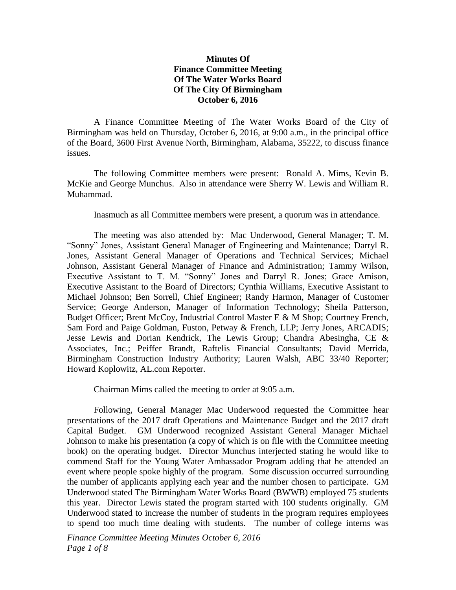## **Minutes Of Finance Committee Meeting Of The Water Works Board Of The City Of Birmingham October 6, 2016**

A Finance Committee Meeting of The Water Works Board of the City of Birmingham was held on Thursday, October 6, 2016, at 9:00 a.m., in the principal office of the Board, 3600 First Avenue North, Birmingham, Alabama, 35222, to discuss finance issues.

The following Committee members were present: Ronald A. Mims, Kevin B. McKie and George Munchus. Also in attendance were Sherry W. Lewis and William R. Muhammad.

Inasmuch as all Committee members were present, a quorum was in attendance.

The meeting was also attended by: Mac Underwood, General Manager; T. M. "Sonny" Jones, Assistant General Manager of Engineering and Maintenance; Darryl R. Jones, Assistant General Manager of Operations and Technical Services; Michael Johnson, Assistant General Manager of Finance and Administration; Tammy Wilson, Executive Assistant to T. M. "Sonny" Jones and Darryl R. Jones; Grace Amison, Executive Assistant to the Board of Directors; Cynthia Williams, Executive Assistant to Michael Johnson; Ben Sorrell, Chief Engineer; Randy Harmon, Manager of Customer Service; George Anderson, Manager of Information Technology; Sheila Patterson, Budget Officer; Brent McCoy, Industrial Control Master E & M Shop; Courtney French, Sam Ford and Paige Goldman, Fuston, Petway & French, LLP; Jerry Jones, ARCADIS; Jesse Lewis and Dorian Kendrick, The Lewis Group; Chandra Abesingha, CE & Associates, Inc.; Peiffer Brandt, Raftelis Financial Consultants; David Merrida, Birmingham Construction Industry Authority; Lauren Walsh, ABC 33/40 Reporter; Howard Koplowitz, AL.com Reporter.

Chairman Mims called the meeting to order at 9:05 a.m.

Following, General Manager Mac Underwood requested the Committee hear presentations of the 2017 draft Operations and Maintenance Budget and the 2017 draft Capital Budget. GM Underwood recognized Assistant General Manager Michael Johnson to make his presentation (a copy of which is on file with the Committee meeting book) on the operating budget. Director Munchus interjected stating he would like to commend Staff for the Young Water Ambassador Program adding that he attended an event where people spoke highly of the program. Some discussion occurred surrounding the number of applicants applying each year and the number chosen to participate. GM Underwood stated The Birmingham Water Works Board (BWWB) employed 75 students this year. Director Lewis stated the program started with 100 students originally. GM Underwood stated to increase the number of students in the program requires employees to spend too much time dealing with students. The number of college interns was

*Finance Committee Meeting Minutes October 6, 2016 Page 1 of 8*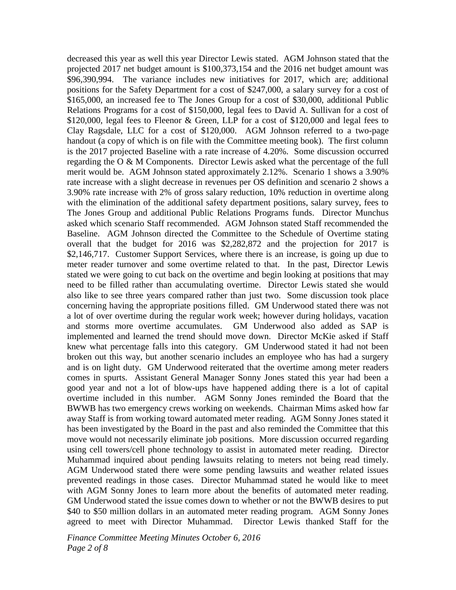decreased this year as well this year Director Lewis stated. AGM Johnson stated that the projected 2017 net budget amount is \$100,373,154 and the 2016 net budget amount was \$96,390,994. The variance includes new initiatives for 2017, which are; additional positions for the Safety Department for a cost of \$247,000, a salary survey for a cost of \$165,000, an increased fee to The Jones Group for a cost of \$30,000, additional Public Relations Programs for a cost of \$150,000, legal fees to David A. Sullivan for a cost of \$120,000, legal fees to Fleenor & Green, LLP for a cost of \$120,000 and legal fees to Clay Ragsdale, LLC for a cost of \$120,000. AGM Johnson referred to a two-page handout (a copy of which is on file with the Committee meeting book). The first column is the 2017 projected Baseline with a rate increase of 4.20%. Some discussion occurred regarding the  $O \& M$  Components. Director Lewis asked what the percentage of the full merit would be. AGM Johnson stated approximately 2.12%. Scenario 1 shows a 3.90% rate increase with a slight decrease in revenues per OS definition and scenario 2 shows a 3.90% rate increase with 2% of gross salary reduction, 10% reduction in overtime along with the elimination of the additional safety department positions, salary survey, fees to The Jones Group and additional Public Relations Programs funds. Director Munchus asked which scenario Staff recommended. AGM Johnson stated Staff recommended the Baseline. AGM Johnson directed the Committee to the Schedule of Overtime stating overall that the budget for 2016 was \$2,282,872 and the projection for 2017 is \$2,146,717. Customer Support Services, where there is an increase, is going up due to meter reader turnover and some overtime related to that. In the past, Director Lewis stated we were going to cut back on the overtime and begin looking at positions that may need to be filled rather than accumulating overtime. Director Lewis stated she would also like to see three years compared rather than just two. Some discussion took place concerning having the appropriate positions filled. GM Underwood stated there was not a lot of over overtime during the regular work week; however during holidays, vacation and storms more overtime accumulates. GM Underwood also added as SAP is implemented and learned the trend should move down. Director McKie asked if Staff knew what percentage falls into this category. GM Underwood stated it had not been broken out this way, but another scenario includes an employee who has had a surgery and is on light duty. GM Underwood reiterated that the overtime among meter readers comes in spurts. Assistant General Manager Sonny Jones stated this year had been a good year and not a lot of blow-ups have happened adding there is a lot of capital overtime included in this number. AGM Sonny Jones reminded the Board that the BWWB has two emergency crews working on weekends. Chairman Mims asked how far away Staff is from working toward automated meter reading. AGM Sonny Jones stated it has been investigated by the Board in the past and also reminded the Committee that this move would not necessarily eliminate job positions. More discussion occurred regarding using cell towers/cell phone technology to assist in automated meter reading. Director Muhammad inquired about pending lawsuits relating to meters not being read timely. AGM Underwood stated there were some pending lawsuits and weather related issues prevented readings in those cases. Director Muhammad stated he would like to meet with AGM Sonny Jones to learn more about the benefits of automated meter reading. GM Underwood stated the issue comes down to whether or not the BWWB desires to put \$40 to \$50 million dollars in an automated meter reading program. AGM Sonny Jones agreed to meet with Director Muhammad. Director Lewis thanked Staff for the

*Finance Committee Meeting Minutes October 6, 2016 Page 2 of 8*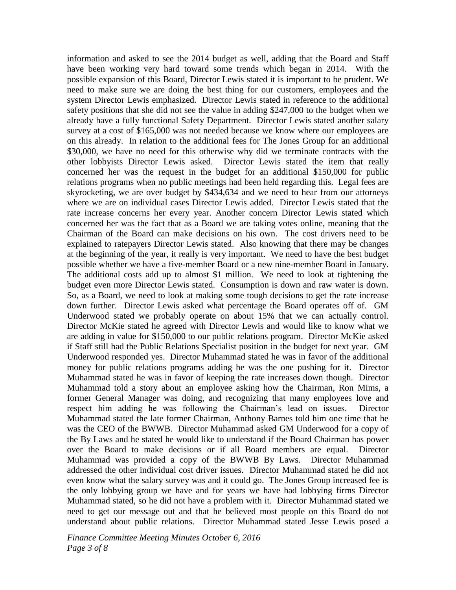information and asked to see the 2014 budget as well, adding that the Board and Staff have been working very hard toward some trends which began in 2014. With the possible expansion of this Board, Director Lewis stated it is important to be prudent. We need to make sure we are doing the best thing for our customers, employees and the system Director Lewis emphasized. Director Lewis stated in reference to the additional safety positions that she did not see the value in adding \$247,000 to the budget when we already have a fully functional Safety Department. Director Lewis stated another salary survey at a cost of \$165,000 was not needed because we know where our employees are on this already. In relation to the additional fees for The Jones Group for an additional \$30,000, we have no need for this otherwise why did we terminate contracts with the other lobbyists Director Lewis asked. Director Lewis stated the item that really concerned her was the request in the budget for an additional \$150,000 for public relations programs when no public meetings had been held regarding this. Legal fees are skyrocketing, we are over budget by \$434,634 and we need to hear from our attorneys where we are on individual cases Director Lewis added. Director Lewis stated that the rate increase concerns her every year. Another concern Director Lewis stated which concerned her was the fact that as a Board we are taking votes online, meaning that the Chairman of the Board can make decisions on his own. The cost drivers need to be explained to ratepayers Director Lewis stated. Also knowing that there may be changes at the beginning of the year, it really is very important. We need to have the best budget possible whether we have a five-member Board or a new nine-member Board in January. The additional costs add up to almost \$1 million. We need to look at tightening the budget even more Director Lewis stated. Consumption is down and raw water is down. So, as a Board, we need to look at making some tough decisions to get the rate increase down further. Director Lewis asked what percentage the Board operates off of. GM Underwood stated we probably operate on about 15% that we can actually control. Director McKie stated he agreed with Director Lewis and would like to know what we are adding in value for \$150,000 to our public relations program. Director McKie asked if Staff still had the Public Relations Specialist position in the budget for next year. GM Underwood responded yes. Director Muhammad stated he was in favor of the additional money for public relations programs adding he was the one pushing for it. Director Muhammad stated he was in favor of keeping the rate increases down though. Director Muhammad told a story about an employee asking how the Chairman, Ron Mims, a former General Manager was doing, and recognizing that many employees love and respect him adding he was following the Chairman's lead on issues. Director Muhammad stated the late former Chairman, Anthony Barnes told him one time that he was the CEO of the BWWB. Director Muhammad asked GM Underwood for a copy of the By Laws and he stated he would like to understand if the Board Chairman has power over the Board to make decisions or if all Board members are equal. Director Muhammad was provided a copy of the BWWB By Laws. Director Muhammad addressed the other individual cost driver issues. Director Muhammad stated he did not even know what the salary survey was and it could go. The Jones Group increased fee is the only lobbying group we have and for years we have had lobbying firms Director Muhammad stated, so he did not have a problem with it. Director Muhammad stated we need to get our message out and that he believed most people on this Board do not understand about public relations. Director Muhammad stated Jesse Lewis posed a

*Finance Committee Meeting Minutes October 6, 2016 Page 3 of 8*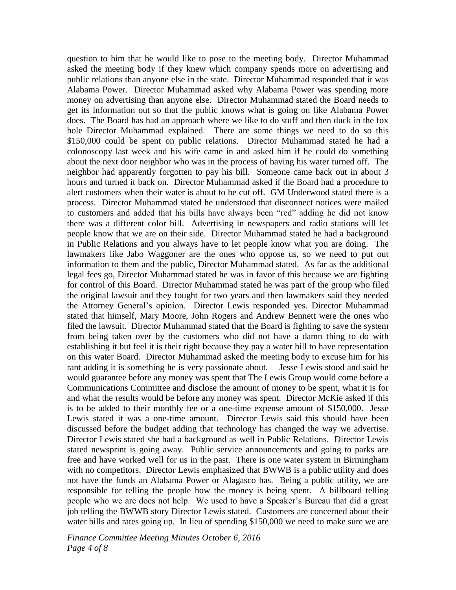question to him that he would like to pose to the meeting body. Director Muhammad asked the meeting body if they knew which company spends more on advertising and public relations than anyone else in the state. Director Muhammad responded that it was Alabama Power. Director Muhammad asked why Alabama Power was spending more money on advertising than anyone else. Director Muhammad stated the Board needs to get its information out so that the public knows what is going on like Alabama Power does. The Board has had an approach where we like to do stuff and then duck in the fox hole Director Muhammad explained. There are some things we need to do so this \$150,000 could be spent on public relations. Director Muhammad stated he had a colonoscopy last week and his wife came in and asked him if he could do something about the next door neighbor who was in the process of having his water turned off. The neighbor had apparently forgotten to pay his bill. Someone came back out in about 3 hours and turned it back on. Director Muhammad asked if the Board had a procedure to alert customers when their water is about to be cut off. GM Underwood stated there is a process. Director Muhammad stated he understood that disconnect notices were mailed to customers and added that his bills have always been "red" adding he did not know there was a different color bill. Advertising in newspapers and radio stations will let people know that we are on their side. Director Muhammad stated he had a background in Public Relations and you always have to let people know what you are doing. The lawmakers like Jabo Waggoner are the ones who oppose us, so we need to put out information to them and the public, Director Muhammad stated. As far as the additional legal fees go, Director Muhammad stated he was in favor of this because we are fighting for control of this Board. Director Muhammad stated he was part of the group who filed the original lawsuit and they fought for two years and then lawmakers said they needed the Attorney General's opinion. Director Lewis responded yes. Director Muhammad stated that himself, Mary Moore, John Rogers and Andrew Bennett were the ones who filed the lawsuit. Director Muhammad stated that the Board is fighting to save the system from being taken over by the customers who did not have a damn thing to do with establishing it but feel it is their right because they pay a water bill to have representation on this water Board. Director Muhammad asked the meeting body to excuse him for his rant adding it is something he is very passionate about. Jesse Lewis stood and said he would guarantee before any money was spent that The Lewis Group would come before a Communications Committee and disclose the amount of money to be spent, what it is for and what the results would be before any money was spent. Director McKie asked if this is to be added to their monthly fee or a one-time expense amount of \$150,000. Jesse Lewis stated it was a one-time amount. Director Lewis said this should have been discussed before the budget adding that technology has changed the way we advertise. Director Lewis stated she had a background as well in Public Relations. Director Lewis stated newsprint is going away. Public service announcements and going to parks are free and have worked well for us in the past. There is one water system in Birmingham with no competitors. Director Lewis emphasized that BWWB is a public utility and does not have the funds an Alabama Power or Alagasco has. Being a public utility, we are responsible for telling the people how the money is being spent. A billboard telling people who we are does not help. We used to have a Speaker's Bureau that did a great job telling the BWWB story Director Lewis stated. Customers are concerned about their water bills and rates going up. In lieu of spending \$150,000 we need to make sure we are

*Finance Committee Meeting Minutes October 6, 2016 Page 4 of 8*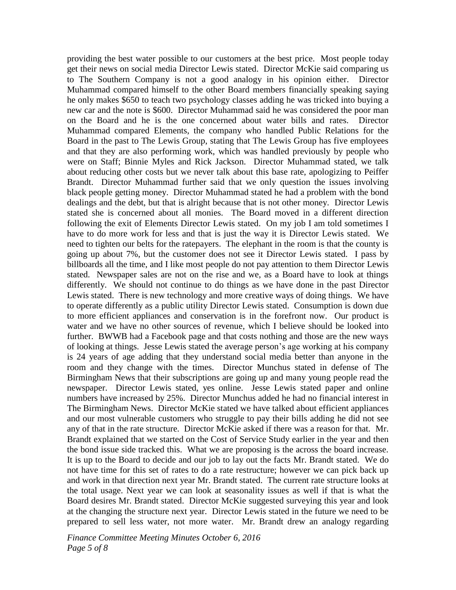providing the best water possible to our customers at the best price. Most people today get their news on social media Director Lewis stated. Director McKie said comparing us to The Southern Company is not a good analogy in his opinion either. Director Muhammad compared himself to the other Board members financially speaking saying he only makes \$650 to teach two psychology classes adding he was tricked into buying a new car and the note is \$600. Director Muhammad said he was considered the poor man on the Board and he is the one concerned about water bills and rates. Director Muhammad compared Elements, the company who handled Public Relations for the Board in the past to The Lewis Group, stating that The Lewis Group has five employees and that they are also performing work, which was handled previously by people who were on Staff; Binnie Myles and Rick Jackson. Director Muhammad stated, we talk about reducing other costs but we never talk about this base rate, apologizing to Peiffer Brandt. Director Muhammad further said that we only question the issues involving black people getting money. Director Muhammad stated he had a problem with the bond dealings and the debt, but that is alright because that is not other money. Director Lewis stated she is concerned about all monies. The Board moved in a different direction following the exit of Elements Director Lewis stated. On my job I am told sometimes I have to do more work for less and that is just the way it is Director Lewis stated. We need to tighten our belts for the ratepayers. The elephant in the room is that the county is going up about 7%, but the customer does not see it Director Lewis stated. I pass by billboards all the time, and I like most people do not pay attention to them Director Lewis stated. Newspaper sales are not on the rise and we, as a Board have to look at things differently. We should not continue to do things as we have done in the past Director Lewis stated. There is new technology and more creative ways of doing things. We have to operate differently as a public utility Director Lewis stated. Consumption is down due to more efficient appliances and conservation is in the forefront now. Our product is water and we have no other sources of revenue, which I believe should be looked into further. BWWB had a Facebook page and that costs nothing and those are the new ways of looking at things. Jesse Lewis stated the average person's age working at his company is 24 years of age adding that they understand social media better than anyone in the room and they change with the times. Director Munchus stated in defense of The Birmingham News that their subscriptions are going up and many young people read the newspaper. Director Lewis stated, yes online. Jesse Lewis stated paper and online numbers have increased by 25%. Director Munchus added he had no financial interest in The Birmingham News. Director McKie stated we have talked about efficient appliances and our most vulnerable customers who struggle to pay their bills adding he did not see any of that in the rate structure. Director McKie asked if there was a reason for that. Mr. Brandt explained that we started on the Cost of Service Study earlier in the year and then the bond issue side tracked this. What we are proposing is the across the board increase. It is up to the Board to decide and our job to lay out the facts Mr. Brandt stated. We do not have time for this set of rates to do a rate restructure; however we can pick back up and work in that direction next year Mr. Brandt stated. The current rate structure looks at the total usage. Next year we can look at seasonality issues as well if that is what the Board desires Mr. Brandt stated. Director McKie suggested surveying this year and look at the changing the structure next year. Director Lewis stated in the future we need to be prepared to sell less water, not more water. Mr. Brandt drew an analogy regarding

*Finance Committee Meeting Minutes October 6, 2016 Page 5 of 8*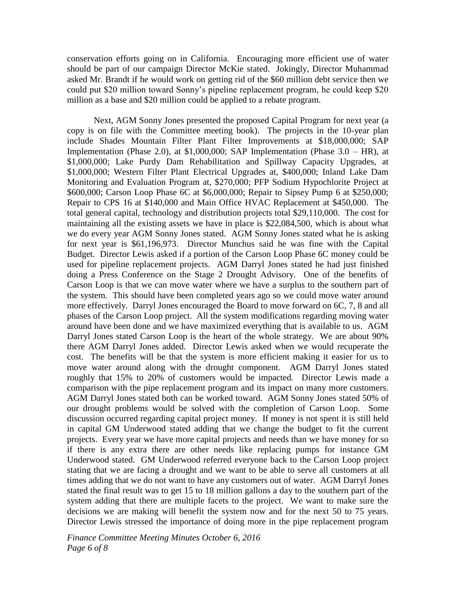conservation efforts going on in California. Encouraging more efficient use of water should be part of our campaign Director McKie stated. Jokingly, Director Muhammad asked Mr. Brandt if he would work on getting rid of the \$60 million debt service then we could put \$20 million toward Sonny's pipeline replacement program, he could keep \$20 million as a base and \$20 million could be applied to a rebate program.

Next, AGM Sonny Jones presented the proposed Capital Program for next year (a copy is on file with the Committee meeting book). The projects in the 10-year plan include Shades Mountain Filter Plant Filter Improvements at \$18,000,000; SAP Implementation (Phase 2.0), at \$1,000,000; SAP Implementation (Phase 3.0 – HR), at \$1,000,000; Lake Purdy Dam Rehabilitation and Spillway Capacity Upgrades, at \$1,000,000; Western Filter Plant Electrical Upgrades at, \$400,000; Inland Lake Dam Monitoring and Evaluation Program at, \$270,000; PFP Sodium Hypochlorite Project at \$600,000; Carson Loop Phase 6C at \$6,000,000; Repair to Sipsey Pump 6 at \$250,000; Repair to CPS 16 at \$140,000 and Main Office HVAC Replacement at \$450,000. The total general capital, technology and distribution projects total \$29,110,000. The cost for maintaining all the existing assets we have in place is \$22,084,500, which is about what we do every year AGM Sonny Jones stated. AGM Sonny Jones stated what he is asking for next year is \$61,196,973. Director Munchus said he was fine with the Capital Budget. Director Lewis asked if a portion of the Carson Loop Phase 6C money could be used for pipeline replacement projects. AGM Darryl Jones stated he had just finished doing a Press Conference on the Stage 2 Drought Advisory. One of the benefits of Carson Loop is that we can move water where we have a surplus to the southern part of the system. This should have been completed years ago so we could move water around more effectively. Darryl Jones encouraged the Board to move forward on 6C, 7, 8 and all phases of the Carson Loop project. All the system modifications regarding moving water around have been done and we have maximized everything that is available to us. AGM Darryl Jones stated Carson Loop is the heart of the whole strategy. We are about 90% there AGM Darryl Jones added. Director Lewis asked when we would recuperate the cost. The benefits will be that the system is more efficient making it easier for us to move water around along with the drought component. AGM Darryl Jones stated roughly that 15% to 20% of customers would be impacted. Director Lewis made a comparison with the pipe replacement program and its impact on many more customers. AGM Darryl Jones stated both can be worked toward. AGM Sonny Jones stated 50% of our drought problems would be solved with the completion of Carson Loop. Some discussion occurred regarding capital project money. If money is not spent it is still held in capital GM Underwood stated adding that we change the budget to fit the current projects. Every year we have more capital projects and needs than we have money for so if there is any extra there are other needs like replacing pumps for instance GM Underwood stated. GM Underwood referred everyone back to the Carson Loop project stating that we are facing a drought and we want to be able to serve all customers at all times adding that we do not want to have any customers out of water. AGM Darryl Jones stated the final result was to get 15 to 18 million gallons a day to the southern part of the system adding that there are multiple facets to the project. We want to make sure the decisions we are making will benefit the system now and for the next 50 to 75 years. Director Lewis stressed the importance of doing more in the pipe replacement program

*Finance Committee Meeting Minutes October 6, 2016 Page 6 of 8*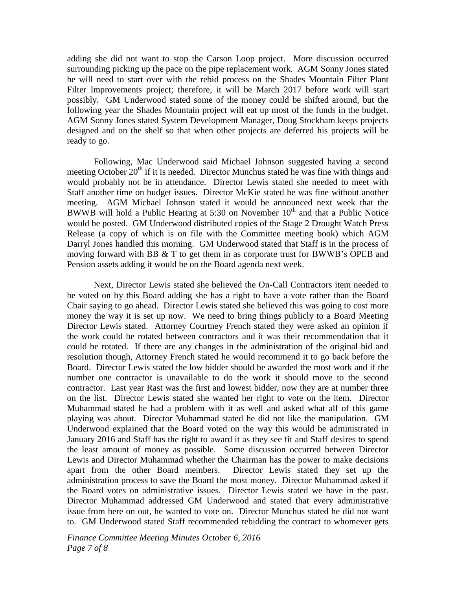adding she did not want to stop the Carson Loop project. More discussion occurred surrounding picking up the pace on the pipe replacement work. AGM Sonny Jones stated he will need to start over with the rebid process on the Shades Mountain Filter Plant Filter Improvements project; therefore, it will be March 2017 before work will start possibly. GM Underwood stated some of the money could be shifted around, but the following year the Shades Mountain project will eat up most of the funds in the budget. AGM Sonny Jones stated System Development Manager, Doug Stockham keeps projects designed and on the shelf so that when other projects are deferred his projects will be ready to go.

Following, Mac Underwood said Michael Johnson suggested having a second meeting October  $20<sup>th</sup>$  if it is needed. Director Munchus stated he was fine with things and would probably not be in attendance. Director Lewis stated she needed to meet with Staff another time on budget issues. Director McKie stated he was fine without another meeting. AGM Michael Johnson stated it would be announced next week that the BWWB will hold a Public Hearing at 5:30 on November  $10<sup>th</sup>$  and that a Public Notice would be posted. GM Underwood distributed copies of the Stage 2 Drought Watch Press Release (a copy of which is on file with the Committee meeting book) which AGM Darryl Jones handled this morning. GM Underwood stated that Staff is in the process of moving forward with BB & T to get them in as corporate trust for BWWB's OPEB and Pension assets adding it would be on the Board agenda next week.

Next, Director Lewis stated she believed the On-Call Contractors item needed to be voted on by this Board adding she has a right to have a vote rather than the Board Chair saying to go ahead. Director Lewis stated she believed this was going to cost more money the way it is set up now. We need to bring things publicly to a Board Meeting Director Lewis stated. Attorney Courtney French stated they were asked an opinion if the work could be rotated between contractors and it was their recommendation that it could be rotated. If there are any changes in the administration of the original bid and resolution though, Attorney French stated he would recommend it to go back before the Board. Director Lewis stated the low bidder should be awarded the most work and if the number one contractor is unavailable to do the work it should move to the second contractor. Last year Rast was the first and lowest bidder, now they are at number three on the list. Director Lewis stated she wanted her right to vote on the item. Director Muhammad stated he had a problem with it as well and asked what all of this game playing was about. Director Muhammad stated he did not like the manipulation. GM Underwood explained that the Board voted on the way this would be administrated in January 2016 and Staff has the right to award it as they see fit and Staff desires to spend the least amount of money as possible. Some discussion occurred between Director Lewis and Director Muhammad whether the Chairman has the power to make decisions apart from the other Board members. Director Lewis stated they set up the administration process to save the Board the most money. Director Muhammad asked if the Board votes on administrative issues. Director Lewis stated we have in the past. Director Muhammad addressed GM Underwood and stated that every administrative issue from here on out, he wanted to vote on. Director Munchus stated he did not want to. GM Underwood stated Staff recommended rebidding the contract to whomever gets

*Finance Committee Meeting Minutes October 6, 2016 Page 7 of 8*